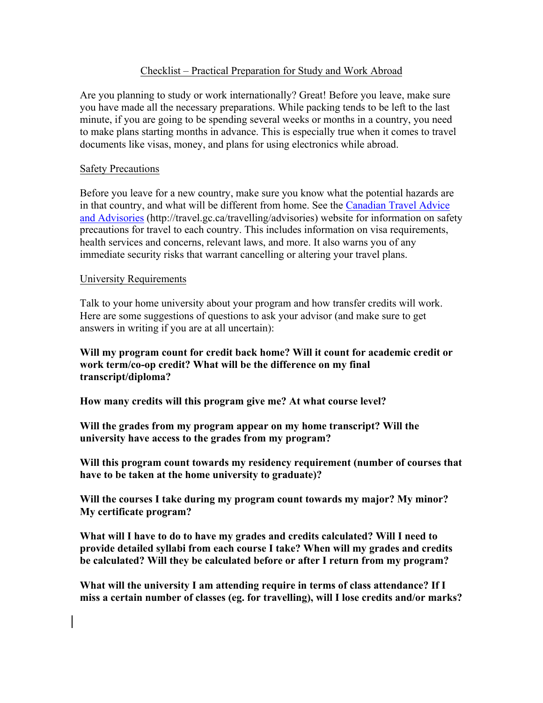### Checklist – Practical Preparation for Study and Work Abroad

Are you planning to study or work internationally? Great! Before you leave, make sure you have made all the necessary preparations. While packing tends to be left to the last minute, if you are going to be spending several weeks or months in a country, you need to make plans starting months in advance. This is especially true when it comes to travel documents like visas, money, and plans for using electronics while abroad.

### Safety Precautions

Before you leave for a new country, make sure you know what the potential hazards are in that country, and what will be different from home. See the Canadian Travel Advice and Advisories (http://travel.gc.ca/travelling/advisories) website for information on safety precautions for travel to each country. This includes information on visa requirements, health services and concerns, relevant laws, and more. It also warns you of any immediate security risks that warrant cancelling or altering your travel plans.

#### University Requirements

Talk to your home university about your program and how transfer credits will work. Here are some suggestions of questions to ask your advisor (and make sure to get answers in writing if you are at all uncertain):

### **Will my program count for credit back home? Will it count for academic credit or work term/co-op credit? What will be the difference on my final transcript/diploma?**

**How many credits will this program give me? At what course level?**

**Will the grades from my program appear on my home transcript? Will the university have access to the grades from my program?**

**Will this program count towards my residency requirement (number of courses that have to be taken at the home university to graduate)?**

**Will the courses I take during my program count towards my major? My minor? My certificate program?**

**What will I have to do to have my grades and credits calculated? Will I need to provide detailed syllabi from each course I take? When will my grades and credits be calculated? Will they be calculated before or after I return from my program?**

**What will the university I am attending require in terms of class attendance? If I miss a certain number of classes (eg. for travelling), will I lose credits and/or marks?**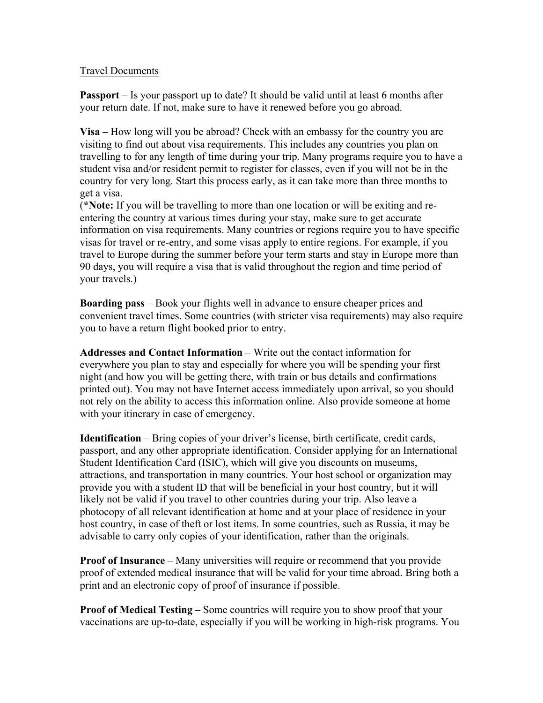### Travel Documents

**Passport** – Is your passport up to date? It should be valid until at least 6 months after your return date. If not, make sure to have it renewed before you go abroad.

**Visa –** How long will you be abroad? Check with an embassy for the country you are visiting to find out about visa requirements. This includes any countries you plan on travelling to for any length of time during your trip. Many programs require you to have a student visa and/or resident permit to register for classes, even if you will not be in the country for very long. Start this process early, as it can take more than three months to get a visa.

(**\*Note:** If you will be travelling to more than one location or will be exiting and reentering the country at various times during your stay, make sure to get accurate information on visa requirements. Many countries or regions require you to have specific visas for travel or re-entry, and some visas apply to entire regions. For example, if you travel to Europe during the summer before your term starts and stay in Europe more than 90 days, you will require a visa that is valid throughout the region and time period of your travels.)

**Boarding pass** – Book your flights well in advance to ensure cheaper prices and convenient travel times. Some countries (with stricter visa requirements) may also require you to have a return flight booked prior to entry.

**Addresses and Contact Information** – Write out the contact information for everywhere you plan to stay and especially for where you will be spending your first night (and how you will be getting there, with train or bus details and confirmations printed out). You may not have Internet access immediately upon arrival, so you should not rely on the ability to access this information online. Also provide someone at home with your itinerary in case of emergency.

**Identification** – Bring copies of your driver's license, birth certificate, credit cards, passport, and any other appropriate identification. Consider applying for an International Student Identification Card (ISIC), which will give you discounts on museums, attractions, and transportation in many countries. Your host school or organization may provide you with a student ID that will be beneficial in your host country, but it will likely not be valid if you travel to other countries during your trip. Also leave a photocopy of all relevant identification at home and at your place of residence in your host country, in case of theft or lost items. In some countries, such as Russia, it may be advisable to carry only copies of your identification, rather than the originals.

**Proof of Insurance** – Many universities will require or recommend that you provide proof of extended medical insurance that will be valid for your time abroad. Bring both a print and an electronic copy of proof of insurance if possible.

**Proof of Medical Testing –** Some countries will require you to show proof that your vaccinations are up-to-date, especially if you will be working in high-risk programs. You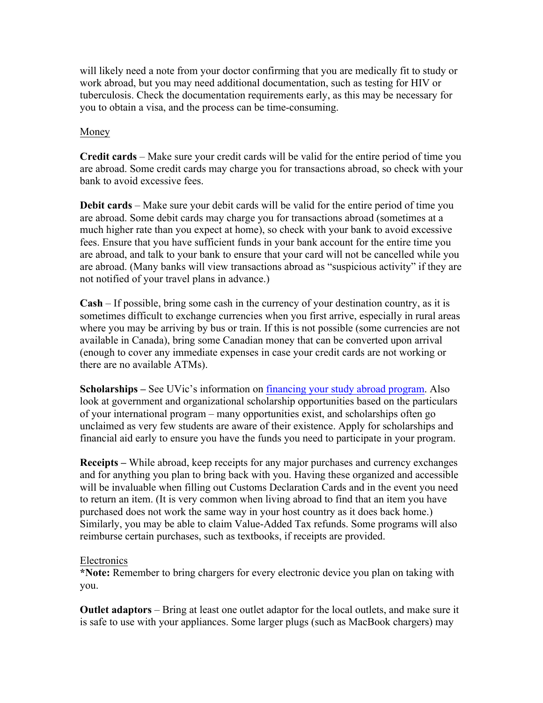will likely need a note from your doctor confirming that you are medically fit to study or work abroad, but you may need additional documentation, such as testing for HIV or tuberculosis. Check the documentation requirements early, as this may be necessary for you to obtain a visa, and the process can be time-consuming.

## Money

**Credit cards** – Make sure your credit cards will be valid for the entire period of time you are abroad. Some credit cards may charge you for transactions abroad, so check with your bank to avoid excessive fees.

**Debit cards** – Make sure your debit cards will be valid for the entire period of time you are abroad. Some debit cards may charge you for transactions abroad (sometimes at a much higher rate than you expect at home), so check with your bank to avoid excessive fees. Ensure that you have sufficient funds in your bank account for the entire time you are abroad, and talk to your bank to ensure that your card will not be cancelled while you are abroad. (Many banks will view transactions abroad as "suspicious activity" if they are not notified of your travel plans in advance.)

**Cash** – If possible, bring some cash in the currency of your destination country, as it is sometimes difficult to exchange currencies when you first arrive, especially in rural areas where you may be arriving by bus or train. If this is not possible (some currencies are not available in Canada), bring some Canadian money that can be converted upon arrival (enough to cover any immediate expenses in case your credit cards are not working or there are no available ATMs).

**Scholarships** – See UVic's information on financing your study abroad program. Also look at government and organizational scholarship opportunities based on the particulars of your international program – many opportunities exist, and scholarships often go unclaimed as very few students are aware of their existence. Apply for scholarships and financial aid early to ensure you have the funds you need to participate in your program.

**Receipts –** While abroad, keep receipts for any major purchases and currency exchanges and for anything you plan to bring back with you. Having these organized and accessible will be invaluable when filling out Customs Declaration Cards and in the event you need to return an item. (It is very common when living abroad to find that an item you have purchased does not work the same way in your host country as it does back home.) Similarly, you may be able to claim Value-Added Tax refunds. Some programs will also reimburse certain purchases, such as textbooks, if receipts are provided.

#### **Electronics**

**\*Note:** Remember to bring chargers for every electronic device you plan on taking with you.

**Outlet adaptors** – Bring at least one outlet adaptor for the local outlets, and make sure it is safe to use with your appliances. Some larger plugs (such as MacBook chargers) may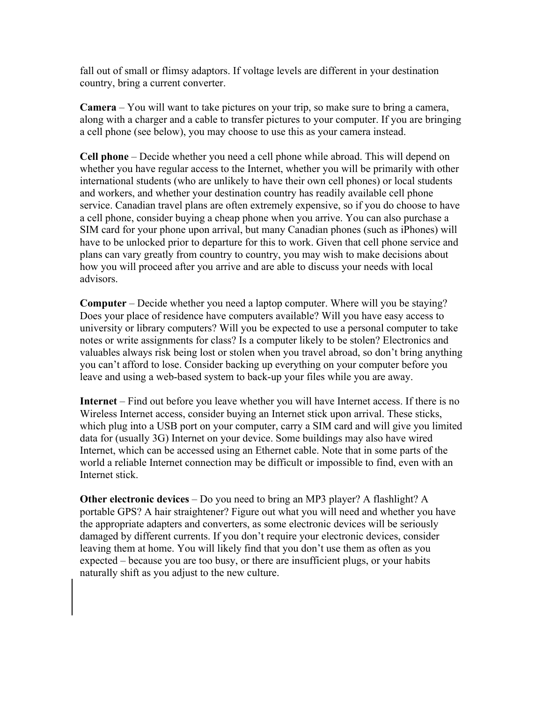fall out of small or flimsy adaptors. If voltage levels are different in your destination country, bring a current converter.

**Camera** – You will want to take pictures on your trip, so make sure to bring a camera, along with a charger and a cable to transfer pictures to your computer. If you are bringing a cell phone (see below), you may choose to use this as your camera instead.

**Cell phone** – Decide whether you need a cell phone while abroad. This will depend on whether you have regular access to the Internet, whether you will be primarily with other international students (who are unlikely to have their own cell phones) or local students and workers, and whether your destination country has readily available cell phone service. Canadian travel plans are often extremely expensive, so if you do choose to have a cell phone, consider buying a cheap phone when you arrive. You can also purchase a SIM card for your phone upon arrival, but many Canadian phones (such as iPhones) will have to be unlocked prior to departure for this to work. Given that cell phone service and plans can vary greatly from country to country, you may wish to make decisions about how you will proceed after you arrive and are able to discuss your needs with local advisors.

**Computer** – Decide whether you need a laptop computer. Where will you be staying? Does your place of residence have computers available? Will you have easy access to university or library computers? Will you be expected to use a personal computer to take notes or write assignments for class? Is a computer likely to be stolen? Electronics and valuables always risk being lost or stolen when you travel abroad, so don't bring anything you can't afford to lose. Consider backing up everything on your computer before you leave and using a web-based system to back-up your files while you are away.

**Internet** – Find out before you leave whether you will have Internet access. If there is no Wireless Internet access, consider buying an Internet stick upon arrival. These sticks, which plug into a USB port on your computer, carry a SIM card and will give you limited data for (usually 3G) Internet on your device. Some buildings may also have wired Internet, which can be accessed using an Ethernet cable. Note that in some parts of the world a reliable Internet connection may be difficult or impossible to find, even with an Internet stick.

**Other electronic devices** – Do you need to bring an MP3 player? A flashlight? A portable GPS? A hair straightener? Figure out what you will need and whether you have the appropriate adapters and converters, as some electronic devices will be seriously damaged by different currents. If you don't require your electronic devices, consider leaving them at home. You will likely find that you don't use them as often as you expected – because you are too busy, or there are insufficient plugs, or your habits naturally shift as you adjust to the new culture.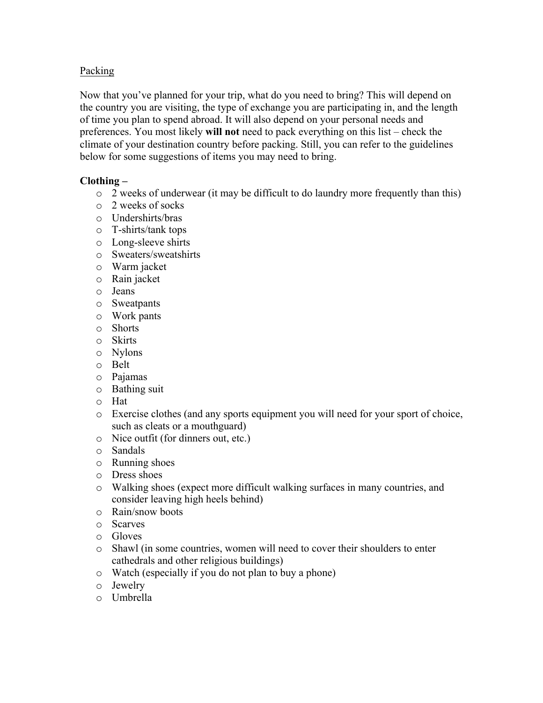# Packing

Now that you've planned for your trip, what do you need to bring? This will depend on the country you are visiting, the type of exchange you are participating in, and the length of time you plan to spend abroad. It will also depend on your personal needs and preferences. You most likely **will not** need to pack everything on this list – check the climate of your destination country before packing. Still, you can refer to the guidelines below for some suggestions of items you may need to bring.

## **Clothing –**

- o 2 weeks of underwear (it may be difficult to do laundry more frequently than this)
- o 2 weeks of socks
- o Undershirts/bras
- o T-shirts/tank tops
- o Long-sleeve shirts
- o Sweaters/sweatshirts
- o Warm jacket
- o Rain jacket
- o Jeans
- o Sweatpants
- o Work pants
- o Shorts
- o Skirts
- o Nylons
- o Belt
- o Pajamas
- o Bathing suit
- o Hat
- o Exercise clothes (and any sports equipment you will need for your sport of choice, such as cleats or a mouthguard)
- o Nice outfit (for dinners out, etc.)
- o Sandals
- o Running shoes
- o Dress shoes
- o Walking shoes (expect more difficult walking surfaces in many countries, and consider leaving high heels behind)
- o Rain/snow boots
- o Scarves
- o Gloves
- o Shawl (in some countries, women will need to cover their shoulders to enter cathedrals and other religious buildings)
- o Watch (especially if you do not plan to buy a phone)
- o Jewelry
- o Umbrella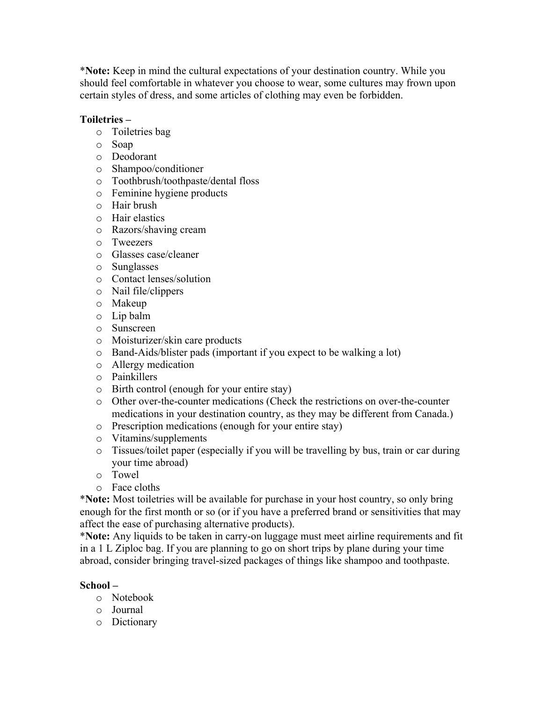\***Note:** Keep in mind the cultural expectations of your destination country. While you should feel comfortable in whatever you choose to wear, some cultures may frown upon certain styles of dress, and some articles of clothing may even be forbidden.

## **Toiletries –**

- o Toiletries bag
- o Soap
- o Deodorant
- o Shampoo/conditioner
- o Toothbrush/toothpaste/dental floss
- o Feminine hygiene products
- o Hair brush
- o Hair elastics
- o Razors/shaving cream
- o Tweezers
- o Glasses case/cleaner
- o Sunglasses
- o Contact lenses/solution
- o Nail file/clippers
- o Makeup
- o Lip balm
- o Sunscreen
- o Moisturizer/skin care products
- o Band-Aids/blister pads (important if you expect to be walking a lot)
- o Allergy medication
- o Painkillers
- o Birth control (enough for your entire stay)
- o Other over-the-counter medications (Check the restrictions on over-the-counter medications in your destination country, as they may be different from Canada.)
- o Prescription medications (enough for your entire stay)
- o Vitamins/supplements
- o Tissues/toilet paper (especially if you will be travelling by bus, train or car during your time abroad)
- o Towel
- o Face cloths

\***Note:** Most toiletries will be available for purchase in your host country, so only bring enough for the first month or so (or if you have a preferred brand or sensitivities that may affect the ease of purchasing alternative products).

\***Note:** Any liquids to be taken in carry-on luggage must meet airline requirements and fit in a 1 L Ziploc bag. If you are planning to go on short trips by plane during your time abroad, consider bringing travel-sized packages of things like shampoo and toothpaste.

#### **School –**

- o Notebook
- o Journal
- o Dictionary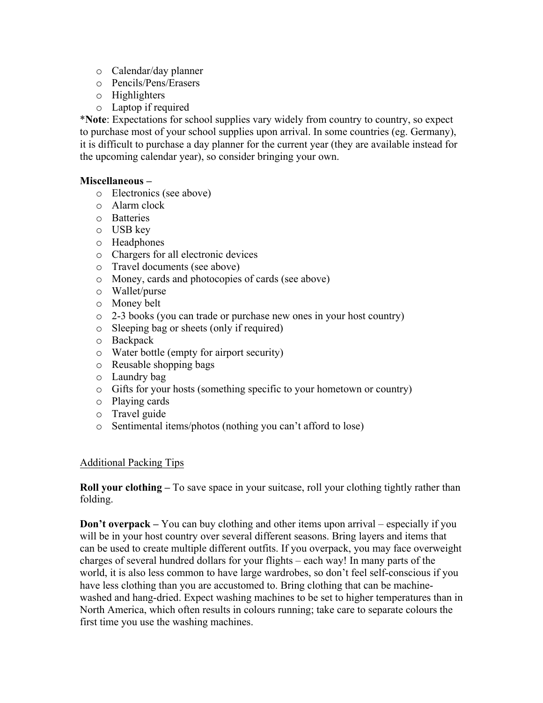- o Calendar/day planner
- o Pencils/Pens/Erasers
- o Highlighters
- o Laptop if required

\***Note**: Expectations for school supplies vary widely from country to country, so expect to purchase most of your school supplies upon arrival. In some countries (eg. Germany), it is difficult to purchase a day planner for the current year (they are available instead for the upcoming calendar year), so consider bringing your own.

## **Miscellaneous –**

- o Electronics (see above)
- o Alarm clock
- o Batteries
- o USB key
- o Headphones
- o Chargers for all electronic devices
- o Travel documents (see above)
- o Money, cards and photocopies of cards (see above)
- o Wallet/purse
- o Money belt
- o 2-3 books (you can trade or purchase new ones in your host country)
- o Sleeping bag or sheets (only if required)
- o Backpack
- o Water bottle (empty for airport security)
- o Reusable shopping bags
- o Laundry bag
- o Gifts for your hosts (something specific to your hometown or country)
- o Playing cards
- o Travel guide
- o Sentimental items/photos (nothing you can't afford to lose)

#### Additional Packing Tips

**Roll your clothing** – To save space in your suitcase, roll your clothing tightly rather than folding.

**Don't overpack** – You can buy clothing and other items upon arrival – especially if you will be in your host country over several different seasons. Bring layers and items that can be used to create multiple different outfits. If you overpack, you may face overweight charges of several hundred dollars for your flights – each way! In many parts of the world, it is also less common to have large wardrobes, so don't feel self-conscious if you have less clothing than you are accustomed to. Bring clothing that can be machinewashed and hang-dried. Expect washing machines to be set to higher temperatures than in North America, which often results in colours running; take care to separate colours the first time you use the washing machines.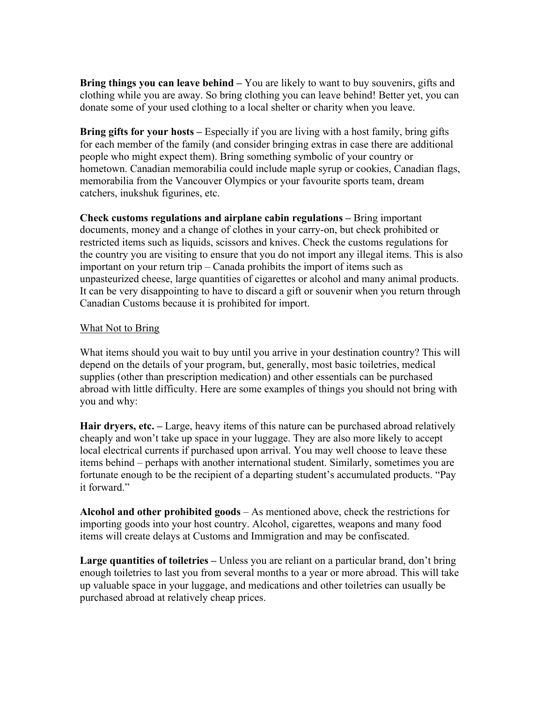**Bring things you can leave behind –** You are likely to want to buy souvenirs, gifts and clothing while you are away. So bring clothing you can leave behind! Better yet, you can donate some of your used clothing to a local shelter or charity when you leave.

**Bring gifts for your hosts –** Especially if you are living with a host family, bring gifts for each member of the family (and consider bringing extras in case there are additional people who might expect them). Bring something symbolic of your country or hometown. Canadian memorabilia could include maple syrup or cookies, Canadian flags, memorabilia from the Vancouver Olympics or your favourite sports team, dream catchers, inukshuk figurines, etc.

**Check customs regulations and airplane cabin regulations –** Bring important documents, money and a change of clothes in your carry-on, but check prohibited or restricted items such as liquids, scissors and knives. Check the customs regulations for the country you are visiting to ensure that you do not import any illegal items. This is also important on your return trip – Canada prohibits the import of items such as unpasteurized cheese, large quantities of cigarettes or alcohol and many animal products. It can be very disappointing to have to discard a gift or souvenir when you return through Canadian Customs because it is prohibited for import.

#### What Not to Bring

What items should you wait to buy until you arrive in your destination country? This will depend on the details of your program, but, generally, most basic toiletries, medical supplies (other than prescription medication) and other essentials can be purchased abroad with little difficulty. Here are some examples of things you should not bring with you and why:

**Hair dryers, etc. –** Large, heavy items of this nature can be purchased abroad relatively cheaply and won't take up space in your luggage. They are also more likely to accept local electrical currents if purchased upon arrival. You may well choose to leave these items behind – perhaps with another international student. Similarly, sometimes you are fortunate enough to be the recipient of a departing student's accumulated products. "Pay it forward."

**Alcohol and other prohibited goods** – As mentioned above, check the restrictions for importing goods into your host country. Alcohol, cigarettes, weapons and many food items will create delays at Customs and Immigration and may be confiscated.

**Large quantities of toiletries –** Unless you are reliant on a particular brand, don't bring enough toiletries to last you from several months to a year or more abroad. This will take up valuable space in your luggage, and medications and other toiletries can usually be purchased abroad at relatively cheap prices.